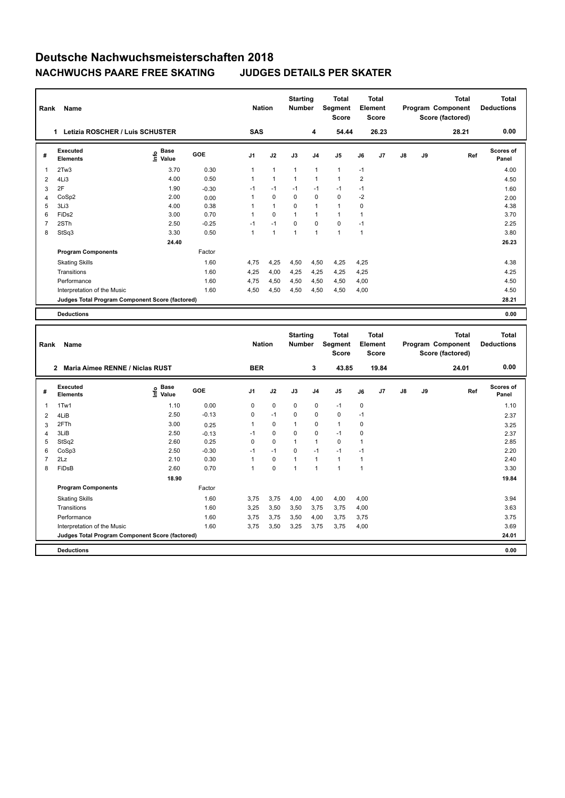## **Deutsche Nachwuchsmeisterschaften 2018 NACHWUCHS PAARE FREE SKATING JUDGES DETAILS PER SKATER**

| Rank           | Name                                            |                                  |         | <b>Nation</b>  |                | <b>Starting</b><br><b>Number</b> |                | <b>Total</b><br>Segment<br><b>Score</b> |                | <b>Total</b><br>Element<br><b>Score</b> |               |    | Total<br>Program Component<br>Score (factored) | <b>Total</b><br><b>Deductions</b> |
|----------------|-------------------------------------------------|----------------------------------|---------|----------------|----------------|----------------------------------|----------------|-----------------------------------------|----------------|-----------------------------------------|---------------|----|------------------------------------------------|-----------------------------------|
|                | Letizia ROSCHER / Luis SCHUSTER<br>1            |                                  |         | <b>SAS</b>     |                |                                  | 4              | 54.44                                   |                | 26.23                                   |               |    | 28.21                                          | 0.00                              |
| #              | Executed<br><b>Elements</b>                     | <b>Base</b><br>e Base<br>⊆ Value | GOE     | J <sub>1</sub> | J2             | J3                               | J <sub>4</sub> | J <sub>5</sub>                          | J6             | J7                                      | $\mathsf{J}8$ | J9 | Ref                                            | <b>Scores of</b><br>Panel         |
| 1              | 2Tw3                                            | 3.70                             | 0.30    | 1              | $\mathbf{1}$   | $\mathbf{1}$                     | $\mathbf{1}$   | $\mathbf{1}$                            | $-1$           |                                         |               |    |                                                | 4.00                              |
| 2              | 4Li3                                            | 4.00                             | 0.50    |                | $\mathbf{1}$   | $\mathbf{1}$                     | $\mathbf{1}$   | $\mathbf{1}$                            | $\overline{2}$ |                                         |               |    |                                                | 4.50                              |
| 3              | 2F                                              | 1.90                             | $-0.30$ | $-1$           | $-1$           | $-1$                             | $-1$           | $-1$                                    | $-1$           |                                         |               |    |                                                | 1.60                              |
| $\overline{4}$ | CoSp2                                           | 2.00                             | 0.00    |                | $\mathbf 0$    | 0                                | 0              | 0                                       | $-2$           |                                         |               |    |                                                | 2.00                              |
| 5              | 3Li3                                            | 4.00                             | 0.38    |                | $\overline{1}$ | $\Omega$                         | $\mathbf{1}$   | $\overline{ }$                          | 0              |                                         |               |    |                                                | 4.38                              |
| 6              | FiD <sub>s2</sub>                               | 3.00                             | 0.70    |                | $\mathbf 0$    | $\mathbf{1}$                     | $\mathbf{1}$   | $\blacktriangleleft$                    |                |                                         |               |    |                                                | 3.70                              |
| 7              | 2STh                                            | 2.50                             | $-0.25$ | $-1$           | $-1$           | $\Omega$                         | $\Omega$       | $\Omega$                                | $-1$           |                                         |               |    |                                                | 2.25                              |
| 8              | StSq3                                           | 3.30                             | 0.50    |                | $\mathbf{1}$   | $\mathbf{1}$                     | $\mathbf{1}$   | $\overline{1}$                          | 1              |                                         |               |    |                                                | 3.80                              |
|                |                                                 | 24.40                            |         |                |                |                                  |                |                                         |                |                                         |               |    |                                                | 26.23                             |
|                | <b>Program Components</b>                       |                                  | Factor  |                |                |                                  |                |                                         |                |                                         |               |    |                                                |                                   |
|                | <b>Skating Skills</b>                           |                                  | 1.60    | 4.75           | 4,25           | 4,50                             | 4,50           | 4,25                                    | 4.25           |                                         |               |    |                                                | 4.38                              |
|                | Transitions                                     |                                  | 1.60    | 4,25           | 4,00           | 4,25                             | 4,25           | 4,25                                    | 4,25           |                                         |               |    |                                                | 4.25                              |
|                | Performance                                     |                                  | 1.60    | 4,75           | 4,50           | 4,50                             | 4,50           | 4,50                                    | 4,00           |                                         |               |    |                                                | 4.50                              |
|                | Interpretation of the Music                     |                                  | 1.60    | 4,50           | 4,50           | 4,50                             | 4,50           | 4,50                                    | 4,00           |                                         |               |    |                                                | 4.50                              |
|                | Judges Total Program Component Score (factored) |                                  |         |                |                |                                  |                |                                         |                |                                         |               |    |                                                | 28.21                             |
|                | <b>Deductions</b>                               |                                  |         |                |                |                                  |                |                                         |                |                                         |               |    |                                                | 0.00                              |

|                | Rank<br>Name                                    |                                  |         |                | <b>Nation</b> |                | <b>Starting</b><br><b>Number</b> | <b>Total</b><br>Segment<br><b>Score</b> | Total<br>Element<br>Score |                | <b>Total</b><br>Program Component<br>Score (factored) |    |       | <b>Total</b><br><b>Deductions</b> |
|----------------|-------------------------------------------------|----------------------------------|---------|----------------|---------------|----------------|----------------------------------|-----------------------------------------|---------------------------|----------------|-------------------------------------------------------|----|-------|-----------------------------------|
|                | Maria Aimee RENNE / Niclas RUST<br>$\mathbf{2}$ |                                  |         | <b>BER</b>     |               |                | 3                                | 43.85                                   |                           | 19.84          |                                                       |    | 24.01 | 0.00                              |
| #              | Executed<br><b>Elements</b>                     | <b>Base</b><br>e Base<br>⊆ Value | GOE     | J <sub>1</sub> | J2            | J3             | J <sub>4</sub>                   | J <sub>5</sub>                          | J6                        | J <sub>7</sub> | $\mathsf{J}8$                                         | J9 | Ref   | <b>Scores of</b><br>Panel         |
| $\overline{1}$ | 1Tw1                                            | 1.10                             | 0.00    | 0              | $\mathbf 0$   | 0              | 0                                | $-1$                                    | 0                         |                |                                                       |    |       | 1.10                              |
| $\overline{2}$ | 4LiB                                            | 2.50                             | $-0.13$ | 0              | $-1$          | 0              | 0                                | $\mathbf 0$                             | $-1$                      |                |                                                       |    |       | 2.37                              |
| 3              | 2FTh                                            | 3.00                             | 0.25    | 1              | 0             | 1              | 0                                | $\mathbf{1}$                            | 0                         |                |                                                       |    |       | 3.25                              |
| $\overline{4}$ | 3LiB                                            | 2.50                             | $-0.13$ | $-1$           | $\mathbf 0$   | 0              | 0                                | $-1$                                    | $\mathbf 0$               |                |                                                       |    |       | 2.37                              |
| 5              | StSq2                                           | 2.60                             | 0.25    | 0              | 0             | $\mathbf{1}$   | 1                                | 0                                       |                           |                |                                                       |    |       | 2.85                              |
| 6              | CoSp3                                           | 2.50                             | $-0.30$ | $-1$           | $-1$          | $\Omega$       | $-1$                             | $-1$                                    | $-1$                      |                |                                                       |    |       | 2.20                              |
| 7              | 2Lz                                             | 2.10                             | 0.30    | 1              | 0             | $\overline{1}$ | 1                                | $\blacktriangleleft$                    |                           |                |                                                       |    |       | 2.40                              |
| 8              | FiDsB                                           | 2.60                             | 0.70    | 1              | 0             | 1              | 1                                | $\overline{1}$                          | $\overline{1}$            |                |                                                       |    |       | 3.30                              |
|                |                                                 | 18.90                            |         |                |               |                |                                  |                                         |                           |                |                                                       |    |       | 19.84                             |
|                | <b>Program Components</b>                       |                                  | Factor  |                |               |                |                                  |                                         |                           |                |                                                       |    |       |                                   |
|                | <b>Skating Skills</b>                           |                                  | 1.60    | 3.75           | 3,75          | 4,00           | 4,00                             | 4,00                                    | 4,00                      |                |                                                       |    |       | 3.94                              |
|                | Transitions                                     |                                  | 1.60    | 3,25           | 3,50          | 3,50           | 3,75                             | 3,75                                    | 4,00                      |                |                                                       |    |       | 3.63                              |
|                | Performance                                     |                                  | 1.60    | 3.75           | 3,75          | 3,50           | 4,00                             | 3,75                                    | 3,75                      |                |                                                       |    |       | 3.75                              |
|                | Interpretation of the Music                     |                                  | 1.60    | 3,75           | 3,50          | 3,25           | 3,75                             | 3,75                                    | 4,00                      |                |                                                       |    |       | 3.69                              |
|                | Judges Total Program Component Score (factored) |                                  |         |                |               |                |                                  |                                         |                           |                |                                                       |    |       | 24.01                             |
|                | <b>Deductions</b>                               |                                  |         |                |               |                |                                  |                                         |                           |                |                                                       |    |       | 0.00                              |